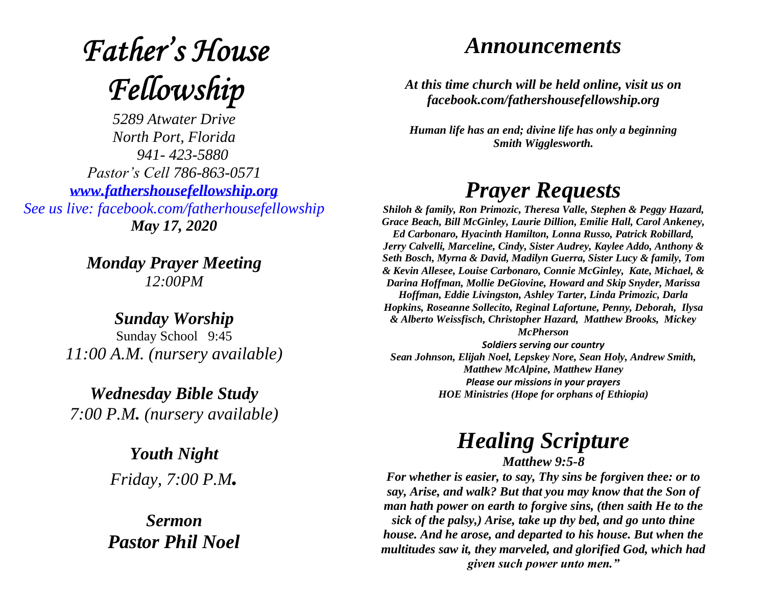# **Father's House** Fellowship

*5289 Atwater Drive North Port, Florida 941- 423-5880 Pastor's Cell 786-863-0571 [www.fathershousefellowship.org](http://www.fathershousefellowship.org/) See us live: facebook.com/fatherhousefellowship May 17, 2020*

> *Monday Prayer Meeting 12:00PM*

*Sunday Worship* Sunday School 9:45 *11:00 A.M. (nursery available)*

*Wednesday Bible Study 7:00 P.M. (nursery available)*

> *Youth Night Friday, 7:00 P.M.*

*Sermon Pastor Phil Noel*

### *Announcements*

*At this time church will be held online, visit us on facebook.com/fathershousefellowship.org*

*Human life has an end; divine life has only a beginning Smith Wigglesworth.*

## *Prayer Requests*

*Shiloh & family, Ron Primozic, Theresa Valle, Stephen & Peggy Hazard, Grace Beach, Bill McGinley, Laurie Dillion, Emilie Hall, Carol Ankeney, Ed Carbonaro, Hyacinth Hamilton, Lonna Russo, Patrick Robillard, Jerry Calvelli, Marceline, Cindy, Sister Audrey, Kaylee Addo, Anthony & Seth Bosch, Myrna & David, Madilyn Guerra, Sister Lucy & family, Tom & Kevin Allesee, Louise Carbonaro, Connie McGinley, Kate, Michael, & Darina Hoffman, Mollie DeGiovine, Howard and Skip Snyder, Marissa Hoffman, Eddie Livingston, Ashley Tarter, Linda Primozic, Darla Hopkins, Roseanne Sollecito, Reginal Lafortune, Penny, Deborah, Ilysa & Alberto Weissfisch, Christopher Hazard, Matthew Brooks, Mickey* 

*McPherson* 

*Soldiers serving our country Sean Johnson, Elijah Noel, Lepskey Nore, Sean Holy, Andrew Smith, Matthew McAlpine, Matthew Haney Please our missions in your prayers HOE Ministries (Hope for orphans of Ethiopia)*

#### *Healing Scripture Matthew 9:5-8*

*For whether is easier, to say, Thy sins be forgiven thee: or to say, Arise, and walk? But that you may know that the Son of man hath power on earth to forgive sins, (then saith He to the sick of the palsy,) Arise, take up thy bed, and go unto thine house. And he arose, and departed to his house. But when the multitudes saw it, they marveled, and glorified God, which had given such power unto men."*